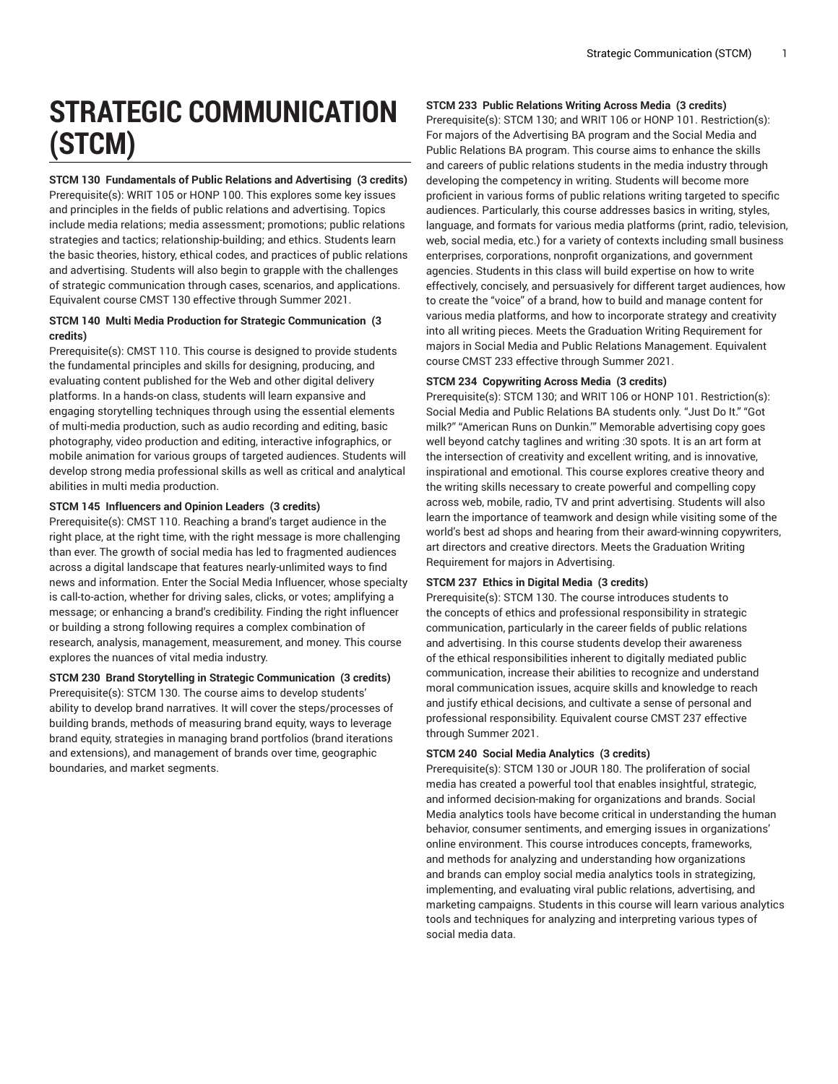# **STRATEGIC COMMUNICATION (STCM)**

**STCM 130 Fundamentals of Public Relations and Advertising (3 credits)** Prerequisite(s): WRIT 105 or HONP 100. This explores some key issues and principles in the fields of public relations and advertising. Topics include media relations; media assessment; promotions; public relations strategies and tactics; relationship-building; and ethics. Students learn the basic theories, history, ethical codes, and practices of public relations and advertising. Students will also begin to grapple with the challenges of strategic communication through cases, scenarios, and applications. Equivalent course CMST 130 effective through Summer 2021.

# **STCM 140 Multi Media Production for Strategic Communication (3 credits)**

Prerequisite(s): CMST 110. This course is designed to provide students the fundamental principles and skills for designing, producing, and evaluating content published for the Web and other digital delivery platforms. In a hands-on class, students will learn expansive and engaging storytelling techniques through using the essential elements of multi-media production, such as audio recording and editing, basic photography, video production and editing, interactive infographics, or mobile animation for various groups of targeted audiences. Students will develop strong media professional skills as well as critical and analytical abilities in multi media production.

# **STCM 145 Influencers and Opinion Leaders (3 credits)**

Prerequisite(s): CMST 110. Reaching a brand's target audience in the right place, at the right time, with the right message is more challenging than ever. The growth of social media has led to fragmented audiences across a digital landscape that features nearly-unlimited ways to find news and information. Enter the Social Media Influencer, whose specialty is call-to-action, whether for driving sales, clicks, or votes; amplifying a message; or enhancing a brand's credibility. Finding the right influencer or building a strong following requires a complex combination of research, analysis, management, measurement, and money. This course explores the nuances of vital media industry.

**STCM 230 Brand Storytelling in Strategic Communication (3 credits)** Prerequisite(s): STCM 130. The course aims to develop students' ability to develop brand narratives. It will cover the steps/processes of building brands, methods of measuring brand equity, ways to leverage brand equity, strategies in managing brand portfolios (brand iterations and extensions), and management of brands over time, geographic boundaries, and market segments.

# **STCM 233 Public Relations Writing Across Media (3 credits)**

Prerequisite(s): STCM 130; and WRIT 106 or HONP 101. Restriction(s): For majors of the Advertising BA program and the Social Media and Public Relations BA program. This course aims to enhance the skills and careers of public relations students in the media industry through developing the competency in writing. Students will become more proficient in various forms of public relations writing targeted to specific audiences. Particularly, this course addresses basics in writing, styles, language, and formats for various media platforms (print, radio, television, web, social media, etc.) for a variety of contexts including small business enterprises, corporations, nonprofit organizations, and government agencies. Students in this class will build expertise on how to write effectively, concisely, and persuasively for different target audiences, how to create the "voice" of a brand, how to build and manage content for various media platforms, and how to incorporate strategy and creativity into all writing pieces. Meets the Graduation Writing Requirement for majors in Social Media and Public Relations Management. Equivalent course CMST 233 effective through Summer 2021.

# **STCM 234 Copywriting Across Media (3 credits)**

Prerequisite(s): STCM 130; and WRIT 106 or HONP 101. Restriction(s): Social Media and Public Relations BA students only. "Just Do It." "Got milk?" "American Runs on Dunkin.'" Memorable advertising copy goes well beyond catchy taglines and writing :30 spots. It is an art form at the intersection of creativity and excellent writing, and is innovative, inspirational and emotional. This course explores creative theory and the writing skills necessary to create powerful and compelling copy across web, mobile, radio, TV and print advertising. Students will also learn the importance of teamwork and design while visiting some of the world's best ad shops and hearing from their award-winning copywriters, art directors and creative directors. Meets the Graduation Writing Requirement for majors in Advertising.

# **STCM 237 Ethics in Digital Media (3 credits)**

Prerequisite(s): STCM 130. The course introduces students to the concepts of ethics and professional responsibility in strategic communication, particularly in the career fields of public relations and advertising. In this course students develop their awareness of the ethical responsibilities inherent to digitally mediated public communication, increase their abilities to recognize and understand moral communication issues, acquire skills and knowledge to reach and justify ethical decisions, and cultivate a sense of personal and professional responsibility. Equivalent course CMST 237 effective through Summer 2021.

#### **STCM 240 Social Media Analytics (3 credits)**

Prerequisite(s): STCM 130 or JOUR 180. The proliferation of social media has created a powerful tool that enables insightful, strategic, and informed decision-making for organizations and brands. Social Media analytics tools have become critical in understanding the human behavior, consumer sentiments, and emerging issues in organizations' online environment. This course introduces concepts, frameworks, and methods for analyzing and understanding how organizations and brands can employ social media analytics tools in strategizing, implementing, and evaluating viral public relations, advertising, and marketing campaigns. Students in this course will learn various analytics tools and techniques for analyzing and interpreting various types of social media data.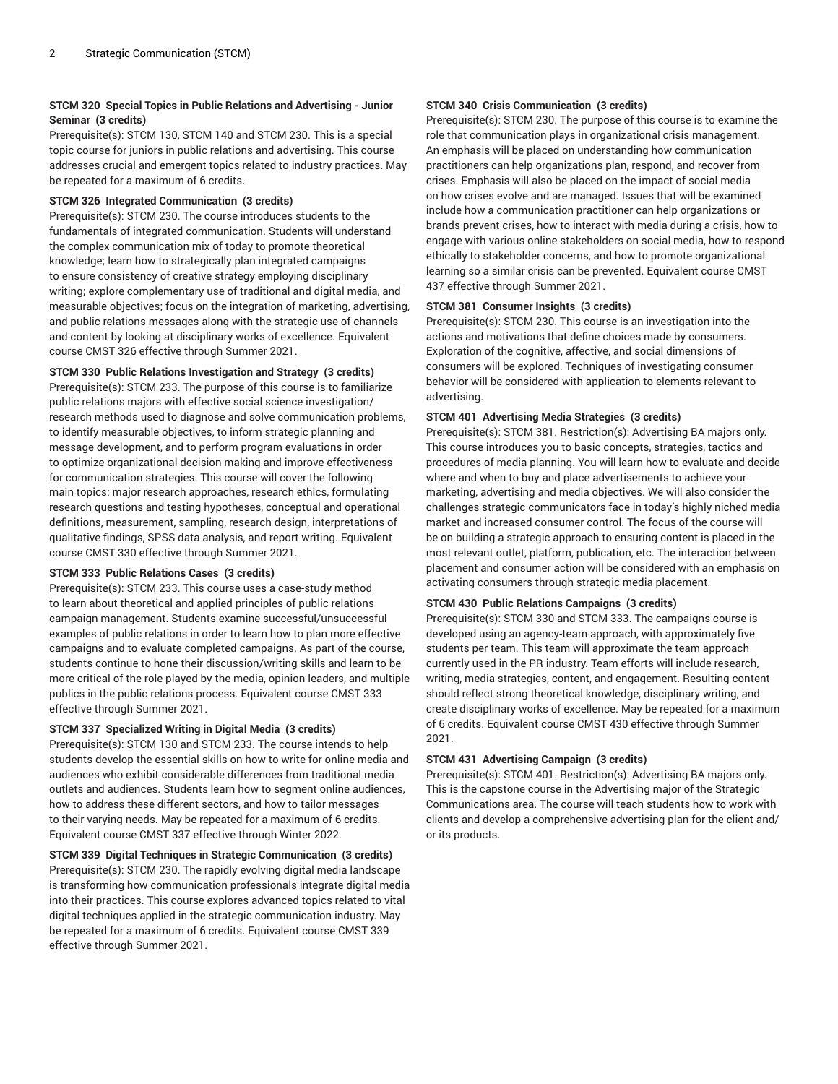# **STCM 320 Special Topics in Public Relations and Advertising - Junior Seminar (3 credits)**

Prerequisite(s): STCM 130, STCM 140 and STCM 230. This is a special topic course for juniors in public relations and advertising. This course addresses crucial and emergent topics related to industry practices. May be repeated for a maximum of 6 credits.

# **STCM 326 Integrated Communication (3 credits)**

Prerequisite(s): STCM 230. The course introduces students to the fundamentals of integrated communication. Students will understand the complex communication mix of today to promote theoretical knowledge; learn how to strategically plan integrated campaigns to ensure consistency of creative strategy employing disciplinary writing; explore complementary use of traditional and digital media, and measurable objectives; focus on the integration of marketing, advertising, and public relations messages along with the strategic use of channels and content by looking at disciplinary works of excellence. Equivalent course CMST 326 effective through Summer 2021.

# **STCM 330 Public Relations Investigation and Strategy (3 credits)**

Prerequisite(s): STCM 233. The purpose of this course is to familiarize public relations majors with effective social science investigation/ research methods used to diagnose and solve communication problems, to identify measurable objectives, to inform strategic planning and message development, and to perform program evaluations in order to optimize organizational decision making and improve effectiveness for communication strategies. This course will cover the following main topics: major research approaches, research ethics, formulating research questions and testing hypotheses, conceptual and operational definitions, measurement, sampling, research design, interpretations of qualitative findings, SPSS data analysis, and report writing. Equivalent course CMST 330 effective through Summer 2021.

#### **STCM 333 Public Relations Cases (3 credits)**

Prerequisite(s): STCM 233. This course uses a case-study method to learn about theoretical and applied principles of public relations campaign management. Students examine successful/unsuccessful examples of public relations in order to learn how to plan more effective campaigns and to evaluate completed campaigns. As part of the course, students continue to hone their discussion/writing skills and learn to be more critical of the role played by the media, opinion leaders, and multiple publics in the public relations process. Equivalent course CMST 333 effective through Summer 2021.

#### **STCM 337 Specialized Writing in Digital Media (3 credits)**

Prerequisite(s): STCM 130 and STCM 233. The course intends to help students develop the essential skills on how to write for online media and audiences who exhibit considerable differences from traditional media outlets and audiences. Students learn how to segment online audiences, how to address these different sectors, and how to tailor messages to their varying needs. May be repeated for a maximum of 6 credits. Equivalent course CMST 337 effective through Winter 2022.

# **STCM 339 Digital Techniques in Strategic Communication (3 credits)**

Prerequisite(s): STCM 230. The rapidly evolving digital media landscape is transforming how communication professionals integrate digital media into their practices. This course explores advanced topics related to vital digital techniques applied in the strategic communication industry. May be repeated for a maximum of 6 credits. Equivalent course CMST 339 effective through Summer 2021.

# **STCM 340 Crisis Communication (3 credits)**

Prerequisite(s): STCM 230. The purpose of this course is to examine the role that communication plays in organizational crisis management. An emphasis will be placed on understanding how communication practitioners can help organizations plan, respond, and recover from crises. Emphasis will also be placed on the impact of social media on how crises evolve and are managed. Issues that will be examined include how a communication practitioner can help organizations or brands prevent crises, how to interact with media during a crisis, how to engage with various online stakeholders on social media, how to respond ethically to stakeholder concerns, and how to promote organizational learning so a similar crisis can be prevented. Equivalent course CMST 437 effective through Summer 2021.

# **STCM 381 Consumer Insights (3 credits)**

Prerequisite(s): STCM 230. This course is an investigation into the actions and motivations that define choices made by consumers. Exploration of the cognitive, affective, and social dimensions of consumers will be explored. Techniques of investigating consumer behavior will be considered with application to elements relevant to advertising.

# **STCM 401 Advertising Media Strategies (3 credits)**

Prerequisite(s): STCM 381. Restriction(s): Advertising BA majors only. This course introduces you to basic concepts, strategies, tactics and procedures of media planning. You will learn how to evaluate and decide where and when to buy and place advertisements to achieve your marketing, advertising and media objectives. We will also consider the challenges strategic communicators face in today's highly niched media market and increased consumer control. The focus of the course will be on building a strategic approach to ensuring content is placed in the most relevant outlet, platform, publication, etc. The interaction between placement and consumer action will be considered with an emphasis on activating consumers through strategic media placement.

# **STCM 430 Public Relations Campaigns (3 credits)**

Prerequisite(s): STCM 330 and STCM 333. The campaigns course is developed using an agency-team approach, with approximately five students per team. This team will approximate the team approach currently used in the PR industry. Team efforts will include research, writing, media strategies, content, and engagement. Resulting content should reflect strong theoretical knowledge, disciplinary writing, and create disciplinary works of excellence. May be repeated for a maximum of 6 credits. Equivalent course CMST 430 effective through Summer 2021.

# **STCM 431 Advertising Campaign (3 credits)**

Prerequisite(s): STCM 401. Restriction(s): Advertising BA majors only. This is the capstone course in the Advertising major of the Strategic Communications area. The course will teach students how to work with clients and develop a comprehensive advertising plan for the client and/ or its products.